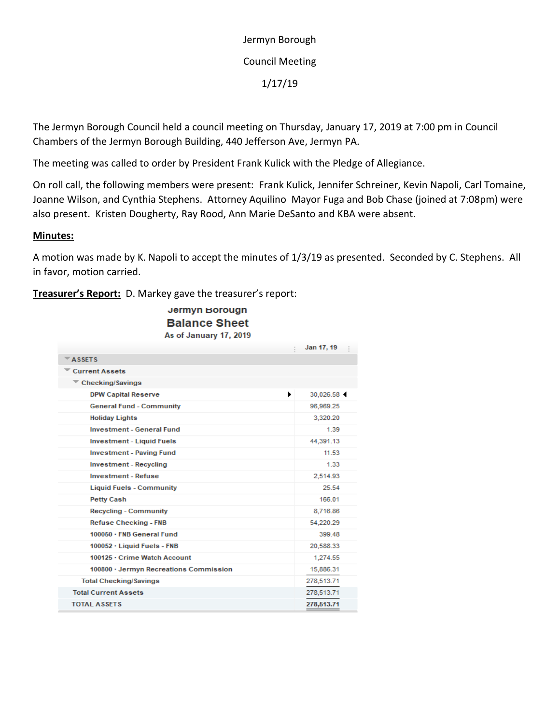Jermyn Borough Council Meeting 1/17/19

The Jermyn Borough Council held a council meeting on Thursday, January 17, 2019 at 7:00 pm in Council Chambers of the Jermyn Borough Building, 440 Jefferson Ave, Jermyn PA.

The meeting was called to order by President Frank Kulick with the Pledge of Allegiance.

On roll call, the following members were present: Frank Kulick, Jennifer Schreiner, Kevin Napoli, Carl Tomaine, Joanne Wilson, and Cynthia Stephens. Attorney Aquilino Mayor Fuga and Bob Chase (joined at 7:08pm) were also present. Kristen Dougherty, Ray Rood, Ann Marie DeSanto and KBA were absent.

### **Minutes:**

A motion was made by K. Napoli to accept the minutes of 1/3/19 as presented. Seconded by C. Stephens. All in favor, motion carried.

**Treasurer's Report:** D. Markey gave the treasurer's report:

Jermyn Borougn **Balance Sheet** As of January 17, 2019

|                                           | Jan 17, 19 |
|-------------------------------------------|------------|
| $\overline{\phantom{a}}$ ASSETS           |            |
| <b>Current Assets</b>                     |            |
| $\overline{\phantom{a}}$ Checking/Savings |            |
| ٠<br><b>DPW Capital Reserve</b>           | 30.026.58  |
| <b>General Fund - Community</b>           | 96,969.25  |
| <b>Holiday Lights</b>                     | 3,320.20   |
| <b>Investment - General Fund</b>          | 1.39       |
| <b>Investment - Liquid Fuels</b>          | 44,391.13  |
| <b>Investment - Paving Fund</b>           | 11.53      |
| <b>Investment - Recycling</b>             | 1.33       |
| <b>Investment - Refuse</b>                | 2,514.93   |
| <b>Liquid Fuels - Community</b>           | 25.54      |
| <b>Petty Cash</b>                         | 166.01     |
| <b>Recycling - Community</b>              | 8,716.86   |
| <b>Refuse Checking - FNB</b>              | 54.220.29  |
| 100050 · FNB General Fund                 | 399.48     |
| 100052 · Liquid Fuels - FNB               | 20,588.33  |
| 100125 · Crime Watch Account              | 1.274.55   |
| 100800 · Jermyn Recreations Commission    | 15,886.31  |
| <b>Total Checking/Savings</b>             | 278,513.71 |
| <b>Total Current Assets</b>               | 278,513.71 |
| <b>TOTAL ASSETS</b>                       | 278,513.71 |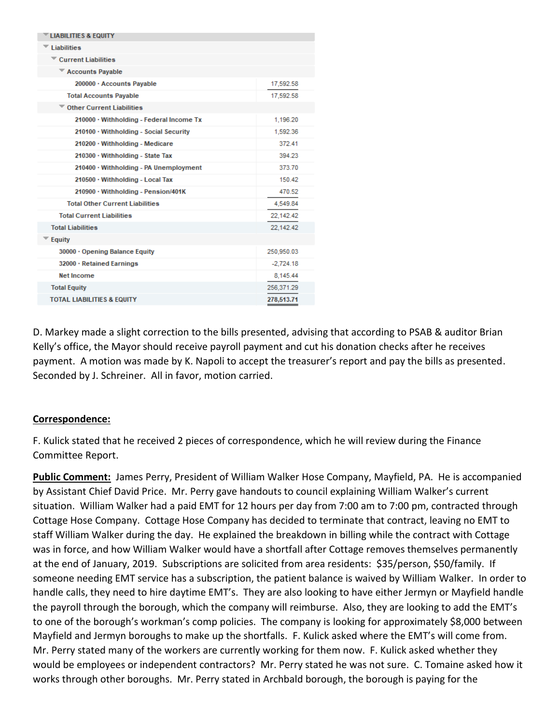| <b>LIABILITIES &amp; EQUITY</b>          |             |
|------------------------------------------|-------------|
| <b>Liabilities</b>                       |             |
| $\blacksquare$ Current Liabilities       |             |
| Accounts Payable                         |             |
| 200000 · Accounts Payable                | 17,592.58   |
| <b>Total Accounts Payable</b>            | 17.592.58   |
| <b>Other Current Liabilities</b>         |             |
| 210000 · Withholding - Federal Income Tx | 1,196.20    |
| 210100 · Withholding - Social Security   | 1,592.36    |
| $210200 \cdot$ Withholding - Medicare    | 372.41      |
| 210300 · Withholding - State Tax         | 394 23      |
| 210400 · Withholding - PA Unemployment   | 373.70      |
| 210500 · Withholding - Local Tax         | 150.42      |
| 210900 · Withholding - Pension/401K      | 470.52      |
| <b>Total Other Current Liabilities</b>   | 4.549.84    |
| <b>Total Current Liabilities</b>         | 22,142.42   |
| <b>Total Liabilities</b>                 | 22.142.42   |
| Equity                                   |             |
| 30000 · Opening Balance Equity           | 250,950.03  |
| 32000 · Retained Earnings                | $-2,724.18$ |
| <b>Net Income</b>                        | 8,145.44    |
| <b>Total Equity</b>                      | 256,371.29  |
| <b>TOTAL LIABILITIES &amp; EQUITY</b>    | 278,513.71  |

D. Markey made a slight correction to the bills presented, advising that according to PSAB & auditor Brian Kelly's office, the Mayor should receive payroll payment and cut his donation checks after he receives payment. A motion was made by K. Napoli to accept the treasurer's report and pay the bills as presented. Seconded by J. Schreiner. All in favor, motion carried.

### **Correspondence:**

F. Kulick stated that he received 2 pieces of correspondence, which he will review during the Finance Committee Report.

**Public Comment:** James Perry, President of William Walker Hose Company, Mayfield, PA. He is accompanied by Assistant Chief David Price. Mr. Perry gave handouts to council explaining William Walker's current situation. William Walker had a paid EMT for 12 hours per day from 7:00 am to 7:00 pm, contracted through Cottage Hose Company. Cottage Hose Company has decided to terminate that contract, leaving no EMT to staff William Walker during the day. He explained the breakdown in billing while the contract with Cottage was in force, and how William Walker would have a shortfall after Cottage removes themselves permanently at the end of January, 2019. Subscriptions are solicited from area residents: \$35/person, \$50/family. If someone needing EMT service has a subscription, the patient balance is waived by William Walker. In order to handle calls, they need to hire daytime EMT's. They are also looking to have either Jermyn or Mayfield handle the payroll through the borough, which the company will reimburse. Also, they are looking to add the EMT's to one of the borough's workman's comp policies. The company is looking for approximately \$8,000 between Mayfield and Jermyn boroughs to make up the shortfalls. F. Kulick asked where the EMT's will come from. Mr. Perry stated many of the workers are currently working for them now. F. Kulick asked whether they would be employees or independent contractors? Mr. Perry stated he was not sure. C. Tomaine asked how it works through other boroughs. Mr. Perry stated in Archbald borough, the borough is paying for the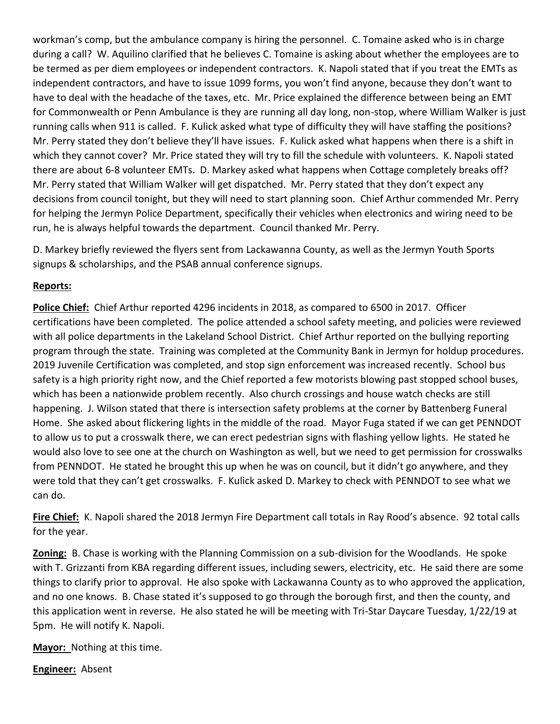workman's comp, but the ambulance company is hiring the personnel. C. Tomaine asked who is in charge during a call? W. Aquilino clarified that he believes C. Tomaine is asking about whether the employees are to be termed as per diem employees or independent contractors. K. Napoli stated that if you treat the EMTs as independent contractors, and have to issue 1099 forms, you won't find anyone, because they don't want to have to deal with the headache of the taxes, etc. Mr. Price explained the difference between being an EMT for Commonwealth or Penn Ambulance is they are running all day long, non-stop, where William Walker is just running calls when 911 is called. F. Kulick asked what type of difficulty they will have staffing the positions? Mr. Perry stated they don't believe they'll have issues. F. Kulick asked what happens when there is a shift in which they cannot cover? Mr. Price stated they will try to fill the schedule with volunteers. K. Napoli stated there are about 6-8 volunteer EMTs. D. Markey asked what happens when Cottage completely breaks off? Mr. Perry stated that William Walker will get dispatched. Mr. Perry stated that they don't expect any decisions from council tonight, but they will need to start planning soon. Chief Arthur commended Mr. Perry for helping the Jermyn Police Department, specifically their vehicles when electronics and wiring need to be run, he is always helpful towards the department. Council thanked Mr. Perry.

D. Markey briefly reviewed the flyers sent from Lackawanna County, as well as the Jermyn Youth Sports signups & scholarships, and the PSAB annual conference signups.

## **Reports:**

**Police Chief:** Chief Arthur reported 4296 incidents in 2018, as compared to 6500 in 2017. Officer certifications have been completed. The police attended a school safety meeting, and policies were reviewed with all police departments in the Lakeland School District. Chief Arthur reported on the bullying reporting program through the state. Training was completed at the Community Bank in Jermyn for holdup procedures. 2019 Juvenile Certification was completed, and stop sign enforcement was increased recently. School bus safety is a high priority right now, and the Chief reported a few motorists blowing past stopped school buses, which has been a nationwide problem recently. Also church crossings and house watch checks are still happening. J. Wilson stated that there is intersection safety problems at the corner by Battenberg Funeral Home. She asked about flickering lights in the middle of the road. Mayor Fuga stated if we can get PENNDOT to allow us to put a crosswalk there, we can erect pedestrian signs with flashing yellow lights. He stated he would also love to see one at the church on Washington as well, but we need to get permission for crosswalks from PENNDOT. He stated he brought this up when he was on council, but it didn't go anywhere, and they were told that they can't get crosswalks. F. Kulick asked D. Markey to check with PENNDOT to see what we can do.

**Fire Chief:** K. Napoli shared the 2018 Jermyn Fire Department call totals in Ray Rood's absence. 92 total calls for the year.

**Zoning:** B. Chase is working with the Planning Commission on a sub-division for the Woodlands. He spoke with T. Grizzanti from KBA regarding different issues, including sewers, electricity, etc. He said there are some things to clarify prior to approval. He also spoke with Lackawanna County as to who approved the application, and no one knows. B. Chase stated it's supposed to go through the borough first, and then the county, and this application went in reverse. He also stated he will be meeting with Tri-Star Daycare Tuesday, 1/22/19 at 5pm. He will notify K. Napoli.

**Mayor:** Nothing at this time.

**Engineer:** Absent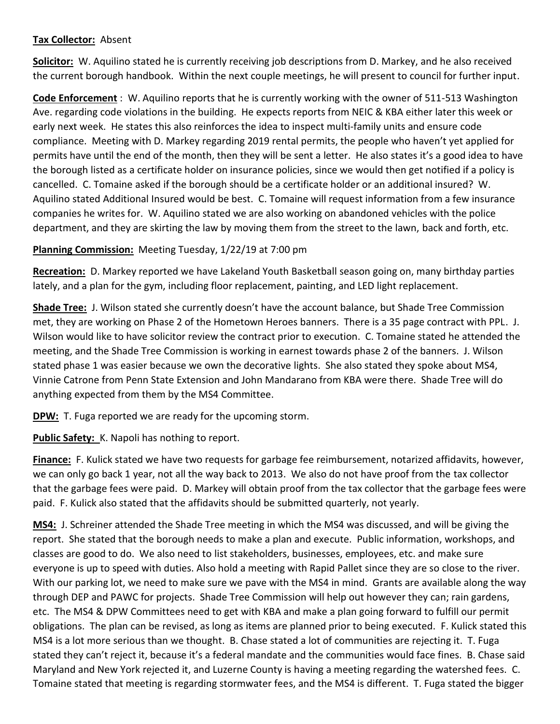### **Tax Collector:** Absent

**Solicitor:** W. Aquilino stated he is currently receiving job descriptions from D. Markey, and he also received the current borough handbook. Within the next couple meetings, he will present to council for further input.

**Code Enforcement** : W. Aquilino reports that he is currently working with the owner of 511-513 Washington Ave. regarding code violations in the building. He expects reports from NEIC & KBA either later this week or early next week. He states this also reinforces the idea to inspect multi-family units and ensure code compliance. Meeting with D. Markey regarding 2019 rental permits, the people who haven't yet applied for permits have until the end of the month, then they will be sent a letter. He also states it's a good idea to have the borough listed as a certificate holder on insurance policies, since we would then get notified if a policy is cancelled. C. Tomaine asked if the borough should be a certificate holder or an additional insured? W. Aquilino stated Additional Insured would be best. C. Tomaine will request information from a few insurance companies he writes for. W. Aquilino stated we are also working on abandoned vehicles with the police department, and they are skirting the law by moving them from the street to the lawn, back and forth, etc.

# **Planning Commission:** Meeting Tuesday, 1/22/19 at 7:00 pm

**Recreation:** D. Markey reported we have Lakeland Youth Basketball season going on, many birthday parties lately, and a plan for the gym, including floor replacement, painting, and LED light replacement.

**Shade Tree:** J. Wilson stated she currently doesn't have the account balance, but Shade Tree Commission met, they are working on Phase 2 of the Hometown Heroes banners. There is a 35 page contract with PPL. J. Wilson would like to have solicitor review the contract prior to execution. C. Tomaine stated he attended the meeting, and the Shade Tree Commission is working in earnest towards phase 2 of the banners. J. Wilson stated phase 1 was easier because we own the decorative lights. She also stated they spoke about MS4, Vinnie Catrone from Penn State Extension and John Mandarano from KBA were there. Shade Tree will do anything expected from them by the MS4 Committee.

**DPW:** T. Fuga reported we are ready for the upcoming storm.

Public Safety: K. Napoli has nothing to report.

**Finance:** F. Kulick stated we have two requests for garbage fee reimbursement, notarized affidavits, however, we can only go back 1 year, not all the way back to 2013. We also do not have proof from the tax collector that the garbage fees were paid. D. Markey will obtain proof from the tax collector that the garbage fees were paid. F. Kulick also stated that the affidavits should be submitted quarterly, not yearly.

**MS4:** J. Schreiner attended the Shade Tree meeting in which the MS4 was discussed, and will be giving the report. She stated that the borough needs to make a plan and execute. Public information, workshops, and classes are good to do. We also need to list stakeholders, businesses, employees, etc. and make sure everyone is up to speed with duties. Also hold a meeting with Rapid Pallet since they are so close to the river. With our parking lot, we need to make sure we pave with the MS4 in mind. Grants are available along the way through DEP and PAWC for projects. Shade Tree Commission will help out however they can; rain gardens, etc. The MS4 & DPW Committees need to get with KBA and make a plan going forward to fulfill our permit obligations. The plan can be revised, as long as items are planned prior to being executed. F. Kulick stated this MS4 is a lot more serious than we thought. B. Chase stated a lot of communities are rejecting it. T. Fuga stated they can't reject it, because it's a federal mandate and the communities would face fines. B. Chase said Maryland and New York rejected it, and Luzerne County is having a meeting regarding the watershed fees. C. Tomaine stated that meeting is regarding stormwater fees, and the MS4 is different. T. Fuga stated the bigger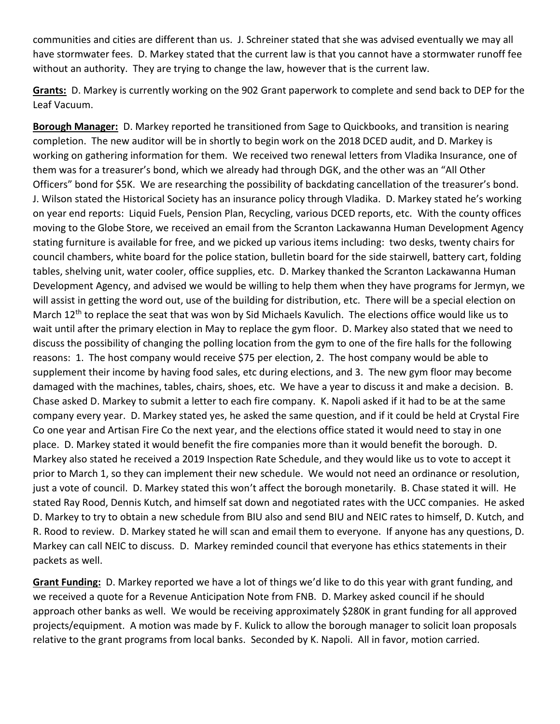communities and cities are different than us. J. Schreiner stated that she was advised eventually we may all have stormwater fees. D. Markey stated that the current law is that you cannot have a stormwater runoff fee without an authority. They are trying to change the law, however that is the current law.

**Grants:** D. Markey is currently working on the 902 Grant paperwork to complete and send back to DEP for the Leaf Vacuum.

**Borough Manager:** D. Markey reported he transitioned from Sage to Quickbooks, and transition is nearing completion. The new auditor will be in shortly to begin work on the 2018 DCED audit, and D. Markey is working on gathering information for them. We received two renewal letters from Vladika Insurance, one of them was for a treasurer's bond, which we already had through DGK, and the other was an "All Other Officers" bond for \$5K. We are researching the possibility of backdating cancellation of the treasurer's bond. J. Wilson stated the Historical Society has an insurance policy through Vladika. D. Markey stated he's working on year end reports: Liquid Fuels, Pension Plan, Recycling, various DCED reports, etc. With the county offices moving to the Globe Store, we received an email from the Scranton Lackawanna Human Development Agency stating furniture is available for free, and we picked up various items including: two desks, twenty chairs for council chambers, white board for the police station, bulletin board for the side stairwell, battery cart, folding tables, shelving unit, water cooler, office supplies, etc. D. Markey thanked the Scranton Lackawanna Human Development Agency, and advised we would be willing to help them when they have programs for Jermyn, we will assist in getting the word out, use of the building for distribution, etc. There will be a special election on March  $12^{th}$  to replace the seat that was won by Sid Michaels Kavulich. The elections office would like us to wait until after the primary election in May to replace the gym floor. D. Markey also stated that we need to discuss the possibility of changing the polling location from the gym to one of the fire halls for the following reasons: 1. The host company would receive \$75 per election, 2. The host company would be able to supplement their income by having food sales, etc during elections, and 3. The new gym floor may become damaged with the machines, tables, chairs, shoes, etc. We have a year to discuss it and make a decision. B. Chase asked D. Markey to submit a letter to each fire company. K. Napoli asked if it had to be at the same company every year. D. Markey stated yes, he asked the same question, and if it could be held at Crystal Fire Co one year and Artisan Fire Co the next year, and the elections office stated it would need to stay in one place. D. Markey stated it would benefit the fire companies more than it would benefit the borough. D. Markey also stated he received a 2019 Inspection Rate Schedule, and they would like us to vote to accept it prior to March 1, so they can implement their new schedule. We would not need an ordinance or resolution, just a vote of council. D. Markey stated this won't affect the borough monetarily. B. Chase stated it will. He stated Ray Rood, Dennis Kutch, and himself sat down and negotiated rates with the UCC companies. He asked D. Markey to try to obtain a new schedule from BIU also and send BIU and NEIC rates to himself, D. Kutch, and R. Rood to review. D. Markey stated he will scan and email them to everyone. If anyone has any questions, D. Markey can call NEIC to discuss. D. Markey reminded council that everyone has ethics statements in their packets as well.

**Grant Funding:** D. Markey reported we have a lot of things we'd like to do this year with grant funding, and we received a quote for a Revenue Anticipation Note from FNB. D. Markey asked council if he should approach other banks as well. We would be receiving approximately \$280K in grant funding for all approved projects/equipment. A motion was made by F. Kulick to allow the borough manager to solicit loan proposals relative to the grant programs from local banks. Seconded by K. Napoli. All in favor, motion carried.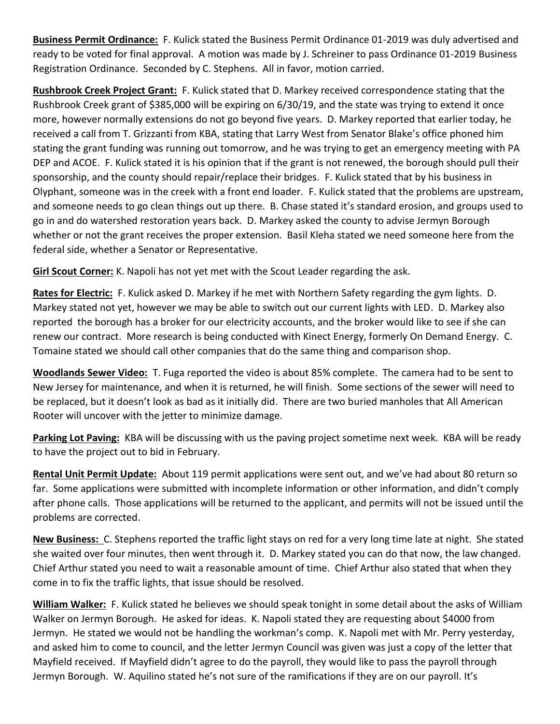**Business Permit Ordinance:** F. Kulick stated the Business Permit Ordinance 01-2019 was duly advertised and ready to be voted for final approval. A motion was made by J. Schreiner to pass Ordinance 01-2019 Business Registration Ordinance. Seconded by C. Stephens. All in favor, motion carried.

**Rushbrook Creek Project Grant:** F. Kulick stated that D. Markey received correspondence stating that the Rushbrook Creek grant of \$385,000 will be expiring on 6/30/19, and the state was trying to extend it once more, however normally extensions do not go beyond five years. D. Markey reported that earlier today, he received a call from T. Grizzanti from KBA, stating that Larry West from Senator Blake's office phoned him stating the grant funding was running out tomorrow, and he was trying to get an emergency meeting with PA DEP and ACOE. F. Kulick stated it is his opinion that if the grant is not renewed, the borough should pull their sponsorship, and the county should repair/replace their bridges. F. Kulick stated that by his business in Olyphant, someone was in the creek with a front end loader. F. Kulick stated that the problems are upstream, and someone needs to go clean things out up there. B. Chase stated it's standard erosion, and groups used to go in and do watershed restoration years back. D. Markey asked the county to advise Jermyn Borough whether or not the grant receives the proper extension. Basil Kleha stated we need someone here from the federal side, whether a Senator or Representative.

**Girl Scout Corner:** K. Napoli has not yet met with the Scout Leader regarding the ask.

**Rates for Electric:** F. Kulick asked D. Markey if he met with Northern Safety regarding the gym lights. D. Markey stated not yet, however we may be able to switch out our current lights with LED. D. Markey also reported the borough has a broker for our electricity accounts, and the broker would like to see if she can renew our contract. More research is being conducted with Kinect Energy, formerly On Demand Energy. C. Tomaine stated we should call other companies that do the same thing and comparison shop.

**Woodlands Sewer Video:** T. Fuga reported the video is about 85% complete. The camera had to be sent to New Jersey for maintenance, and when it is returned, he will finish. Some sections of the sewer will need to be replaced, but it doesn't look as bad as it initially did. There are two buried manholes that All American Rooter will uncover with the jetter to minimize damage.

**Parking Lot Paving:** KBA will be discussing with us the paving project sometime next week. KBA will be ready to have the project out to bid in February.

**Rental Unit Permit Update:** About 119 permit applications were sent out, and we've had about 80 return so far. Some applications were submitted with incomplete information or other information, and didn't comply after phone calls. Those applications will be returned to the applicant, and permits will not be issued until the problems are corrected.

**New Business:** C. Stephens reported the traffic light stays on red for a very long time late at night. She stated she waited over four minutes, then went through it. D. Markey stated you can do that now, the law changed. Chief Arthur stated you need to wait a reasonable amount of time. Chief Arthur also stated that when they come in to fix the traffic lights, that issue should be resolved.

**William Walker:** F. Kulick stated he believes we should speak tonight in some detail about the asks of William Walker on Jermyn Borough. He asked for ideas. K. Napoli stated they are requesting about \$4000 from Jermyn. He stated we would not be handling the workman's comp. K. Napoli met with Mr. Perry yesterday, and asked him to come to council, and the letter Jermyn Council was given was just a copy of the letter that Mayfield received. If Mayfield didn't agree to do the payroll, they would like to pass the payroll through Jermyn Borough. W. Aquilino stated he's not sure of the ramifications if they are on our payroll. It's